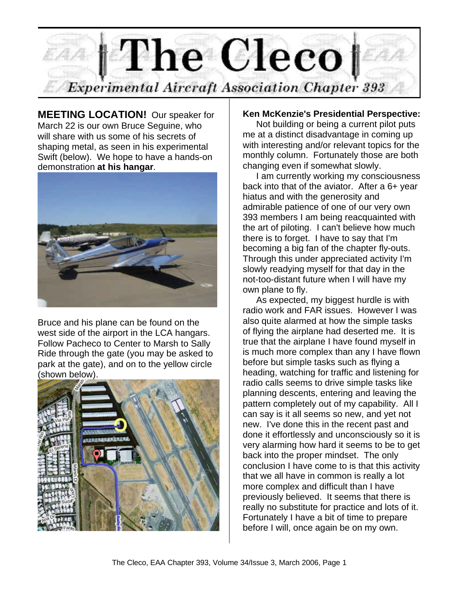

**MEETING LOCATION!** Our speaker for March 22 is our own Bruce Seguine, who will share with us some of his secrets of shaping metal, as seen in his experimental Swift (below). We hope to have a hands-on demonstration **at his hangar**.



Bruce and his plane can be found on the west side of the airport in the LCA hangars. Follow Pacheco to Center to Marsh to Sally Ride through the gate (you may be asked to park at the gate), and on to the yellow circle (shown below).



#### **Ken McKenzie's Presidential Perspective:**

Not building or being a current pilot puts me at a distinct disadvantage in coming up with interesting and/or relevant topics for the monthly column. Fortunately those are both changing even if somewhat slowly.

I am currently working my consciousness back into that of the aviator. After a 6+ year hiatus and with the generosity and admirable patience of one of our very own 393 members I am being reacquainted with the art of piloting. I can't believe how much there is to forget. I have to say that I'm becoming a big fan of the chapter fly-outs. Through this under appreciated activity I'm slowly readying myself for that day in the not-too-distant future when I will have my own plane to fly.

As expected, my biggest hurdle is with radio work and FAR issues. However I was also quite alarmed at how the simple tasks of flying the airplane had deserted me. It is true that the airplane I have found myself in is much more complex than any I have flown before but simple tasks such as flying a heading, watching for traffic and listening for radio calls seems to drive simple tasks like planning descents, entering and leaving the pattern completely out of my capability. All I can say is it all seems so new, and yet not new. I've done this in the recent past and done it effortlessly and unconsciously so it is very alarming how hard it seems to be to get back into the proper mindset. The only conclusion I have come to is that this activity that we all have in common is really a lot more complex and difficult than I have previously believed. It seems that there is really no substitute for practice and lots of it. Fortunately I have a bit of time to prepare before I will, once again be on my own.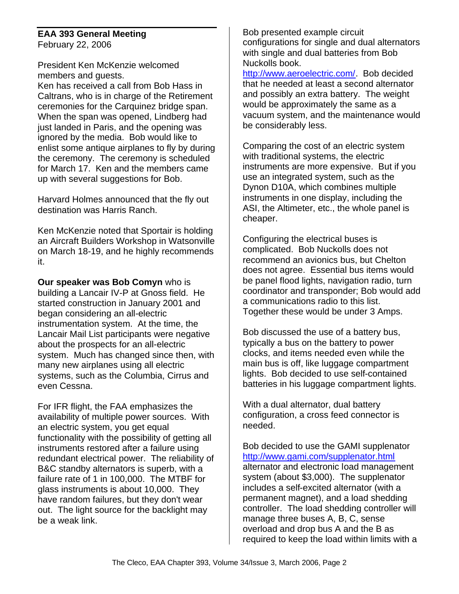#### **EAA 393 General Meeting** February 22, 2006

President Ken McKenzie welcomed members and guests.

Ken has received a call from Bob Hass in Caltrans, who is in charge of the Retirement ceremonies for the Carquinez bridge span. When the span was opened, Lindberg had just landed in Paris, and the opening was ignored by the media. Bob would like to enlist some antique airplanes to fly by during the ceremony. The ceremony is scheduled for March 17. Ken and the members came up with several suggestions for Bob.

Harvard Holmes announced that the fly out destination was Harris Ranch.

Ken McKenzie noted that Sportair is holding an Aircraft Builders Workshop in Watsonville on March 18-19, and he highly recommends it.

**Our speaker was Bob Comyn** who is building a Lancair IV-P at Gnoss field. He started construction in January 2001 and began considering an all-electric instrumentation system. At the time, the Lancair Mail List participants were negative about the prospects for an all-electric system. Much has changed since then, with many new airplanes using all electric systems, such as the Columbia, Cirrus and even Cessna.

For IFR flight, the FAA emphasizes the availability of multiple power sources. With an electric system, you get equal functionality with the possibility of getting all instruments restored after a failure using redundant electrical power. The reliability of B&C standby alternators is superb, with a failure rate of 1 in 100,000. The MTBF for glass instruments is about 10,000. They have random failures, but they don't wear out. The light source for the backlight may be a weak link.

Bob presented example circuit configurations for single and dual alternators with single and dual batteries from Bob Nuckolls book.

http://www.aeroelectric.com/. Bob decided that he needed at least a second alternator and possibly an extra battery. The weight would be approximately the same as a vacuum system, and the maintenance would be considerably less.

Comparing the cost of an electric system with traditional systems, the electric instruments are more expensive. But if you use an integrated system, such as the Dynon D10A, which combines multiple instruments in one display, including the ASI, the Altimeter, etc., the whole panel is cheaper.

Configuring the electrical buses is complicated. Bob Nuckolls does not recommend an avionics bus, but Chelton does not agree. Essential bus items would be panel flood lights, navigation radio, turn coordinator and transponder; Bob would add a communications radio to this list. Together these would be under 3 Amps.

Bob discussed the use of a battery bus, typically a bus on the battery to power clocks, and items needed even while the main bus is off, like luggage compartment lights. Bob decided to use self-contained batteries in his luggage compartment lights.

With a dual alternator, dual battery configuration, a cross feed connector is needed.

Bob decided to use the GAMI supplenator http://www.gami.com/supplenator.html alternator and electronic load management system (about \$3,000). The supplenator includes a self-excited alternator (with a permanent magnet), and a load shedding controller. The load shedding controller will manage three buses A, B, C, sense overload and drop bus A and the B as required to keep the load within limits with a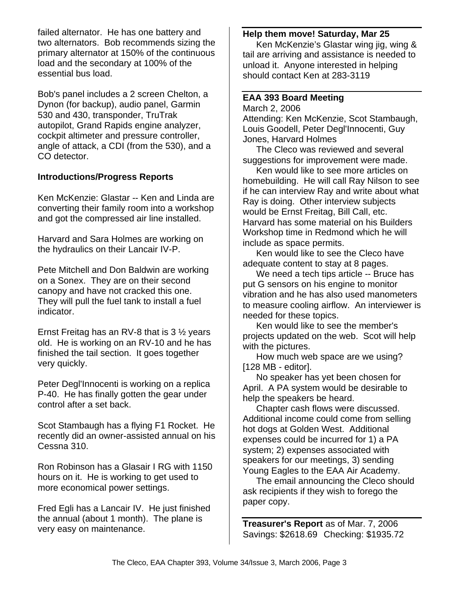failed alternator. He has one battery and two alternators. Bob recommends sizing the primary alternator at 150% of the continuous load and the secondary at 100% of the essential bus load.

Bob's panel includes a 2 screen Chelton, a Dynon (for backup), audio panel, Garmin 530 and 430, transponder, TruTrak autopilot, Grand Rapids engine analyzer, cockpit altimeter and pressure controller, angle of attack, a CDI (from the 530), and a CO detector.

### **Introductions/Progress Reports**

Ken McKenzie: Glastar -- Ken and Linda are converting their family room into a workshop and got the compressed air line installed.

Harvard and Sara Holmes are working on the hydraulics on their Lancair IV-P.

Pete Mitchell and Don Baldwin are working on a Sonex. They are on their second canopy and have not cracked this one. They will pull the fuel tank to install a fuel indicator.

Ernst Freitag has an RV-8 that is  $3\frac{1}{2}$  years old. He is working on an RV-10 and he has finished the tail section. It goes together very quickly.

Peter Degl'Innocenti is working on a replica P-40. He has finally gotten the gear under control after a set back.

Scot Stambaugh has a flying F1 Rocket. He recently did an owner-assisted annual on his Cessna 310.

Ron Robinson has a Glasair I RG with 1150 hours on it. He is working to get used to more economical power settings.

Fred Egli has a Lancair IV. He just finished the annual (about 1 month). The plane is very easy on maintenance.

#### **Help them move! Saturday, Mar 25**

Ken McKenzie's Glastar wing jig, wing & tail are arriving and assistance is needed to unload it. Anyone interested in helping should contact Ken at 283-3119

## **EAA 393 Board Meeting**

March 2, 2006

Attending: Ken McKenzie, Scot Stambaugh, Louis Goodell, Peter Degl'Innocenti, Guy Jones, Harvard Holmes

The Cleco was reviewed and several suggestions for improvement were made.

Ken would like to see more articles on homebuilding. He will call Ray Nilson to see if he can interview Ray and write about what Ray is doing. Other interview subjects would be Ernst Freitag, Bill Call, etc. Harvard has some material on his Builders Workshop time in Redmond which he will include as space permits.

Ken would like to see the Cleco have adequate content to stay at 8 pages.

We need a tech tips article -- Bruce has put G sensors on his engine to monitor vibration and he has also used manometers to measure cooling airflow. An interviewer is needed for these topics.

Ken would like to see the member's projects updated on the web. Scot will help with the pictures.

How much web space are we using? [128 MB - editor].

No speaker has yet been chosen for April. A PA system would be desirable to help the speakers be heard.

Chapter cash flows were discussed. Additional income could come from selling hot dogs at Golden West. Additional expenses could be incurred for 1) a PA system; 2) expenses associated with speakers for our meetings, 3) sending Young Eagles to the EAA Air Academy.

The email announcing the Cleco should ask recipients if they wish to forego the paper copy.

**Treasurer's Report** as of Mar. 7, 2006 Savings: \$2618.69 Checking: \$1935.72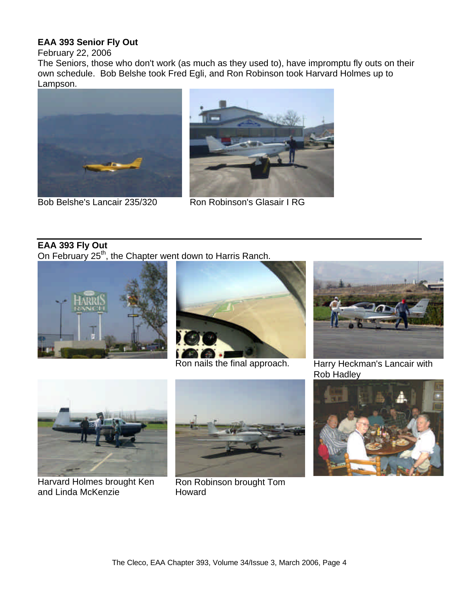## **EAA 393 Senior Fly Out**

February 22, 2006

The Seniors, those who don't work (as much as they used to), have impromptu fly outs on their own schedule. Bob Belshe took Fred Egli, and Ron Robinson took Harvard Holmes up to Lampson.



Bob Belshe's Lancair 235/320 Ron Robinson's Glasair I RG



# **EAA 393 Fly Out**

On February 25<sup>th</sup>, the Chapter went down to Harris Ranch.





Ron nails the final approach. Harry Heckman's Lancair with



Rob Hadley



Harvard Holmes brought Ken and Linda McKenzie



Ron Robinson brought Tom Howard

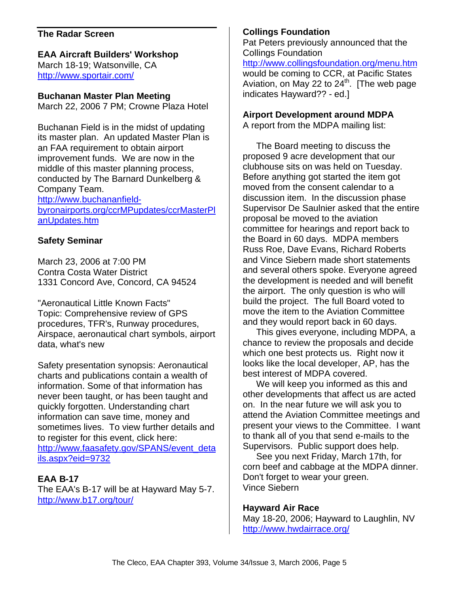### **The Radar Screen**

# **EAA Aircraft Builders' Workshop**

March 18-19; Watsonville, CA http://www.sportair.com/

### **Buchanan Master Plan Meeting**

March 22, 2006 7 PM; Crowne Plaza Hotel

Buchanan Field is in the midst of updating its master plan. An updated Master Plan is an FAA requirement to obtain airport improvement funds. We are now in the middle of this master planning process, conducted by The Barnard Dunkelberg & Company Team.

http://www.buchananfieldbyronairports.org/ccrMPupdates/ccrMasterPl anUpdates.htm

## **Safety Seminar**

March 23, 2006 at 7:00 PM Contra Costa Water District 1331 Concord Ave, Concord, CA 94524

"Aeronautical Little Known Facts" Topic: Comprehensive review of GPS procedures, TFR's, Runway procedures, Airspace, aeronautical chart symbols, airport data, what's new

Safety presentation synopsis: Aeronautical charts and publications contain a wealth of information. Some of that information has never been taught, or has been taught and quickly forgotten. Understanding chart information can save time, money and sometimes lives. To view further details and to register for this event, click here: http://www.faasafety.gov/SPANS/event\_deta ils.aspx?eid=9732

## **EAA B-17**

The EAA's B-17 will be at Hayward May 5-7. http://www.b17.org/tour/

### **Collings Foundation**

Pat Peters previously announced that the Collings Foundation http://www.collingsfoundation.org/menu.htm would be coming to CCR, at Pacific States Aviation, on May 22 to  $24^{\text{th}}$ . [The web page indicates Hayward?? - ed.]

#### **Airport Development around MDPA**

A report from the MDPA mailing list:

The Board meeting to discuss the proposed 9 acre development that our clubhouse sits on was held on Tuesday. Before anything got started the item got moved from the consent calendar to a discussion item. In the discussion phase Supervisor De Saulnier asked that the entire proposal be moved to the aviation committee for hearings and report back to the Board in 60 days. MDPA members Russ Roe, Dave Evans, Richard Roberts and Vince Siebern made short statements and several others spoke. Everyone agreed the development is needed and will benefit the airport. The only question is who will build the project. The full Board voted to move the item to the Aviation Committee and they would report back in 60 days.

This gives everyone, including MDPA, a chance to review the proposals and decide which one best protects us. Right now it looks like the local developer, AP, has the best interest of MDPA covered.

We will keep you informed as this and other developments that affect us are acted on. In the near future we will ask you to attend the Aviation Committee meetings and present your views to the Committee. I want to thank all of you that send e-mails to the Supervisors. Public support does help.

See you next Friday, March 17th, for corn beef and cabbage at the MDPA dinner. Don't forget to wear your green. Vince Siebern

### **Hayward Air Race**

May 18-20, 2006; Hayward to Laughlin, NV http://www.hwdairrace.org/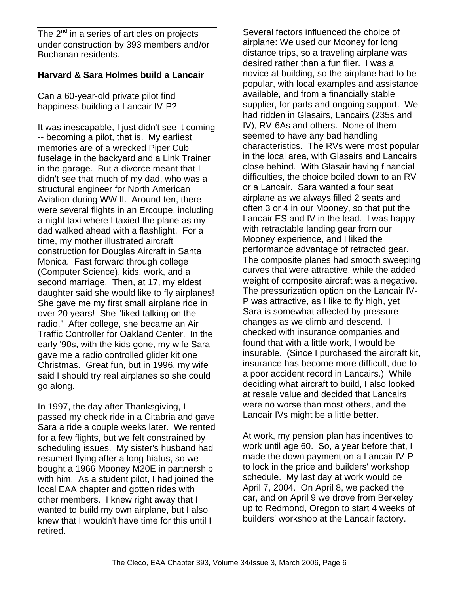The  $2^{nd}$  in a series of articles on projects under construction by 393 members and/or Buchanan residents.

### **Harvard & Sara Holmes build a Lancair**

Can a 60-year-old private pilot find happiness building a Lancair IV-P?

It was inescapable, I just didn't see it coming -- becoming a pilot, that is. My earliest memories are of a wrecked Piper Cub fuselage in the backyard and a Link Trainer in the garage. But a divorce meant that I didn't see that much of my dad, who was a structural engineer for North American Aviation during WW II. Around ten, there were several flights in an Ercoupe, including a night taxi where I taxied the plane as my dad walked ahead with a flashlight. For a time, my mother illustrated aircraft construction for Douglas Aircraft in Santa Monica. Fast forward through college (Computer Science), kids, work, and a second marriage. Then, at 17, my eldest daughter said she would like to fly airplanes! She gave me my first small airplane ride in over 20 years! She "liked talking on the radio." After college, she became an Air Traffic Controller for Oakland Center. In the early '90s, with the kids gone, my wife Sara gave me a radio controlled glider kit one Christmas. Great fun, but in 1996, my wife said I should try real airplanes so she could go along.

In 1997, the day after Thanksgiving, I passed my check ride in a Citabria and gave Sara a ride a couple weeks later. We rented for a few flights, but we felt constrained by scheduling issues. My sister's husband had resumed flying after a long hiatus, so we bought a 1966 Mooney M20E in partnership with him. As a student pilot, I had joined the local EAA chapter and gotten rides with other members. I knew right away that I wanted to build my own airplane, but I also knew that I wouldn't have time for this until I retired.

Several factors influenced the choice of airplane: We used our Mooney for long distance trips, so a traveling airplane was desired rather than a fun flier. I was a novice at building, so the airplane had to be popular, with local examples and assistance available, and from a financially stable supplier, for parts and ongoing support. We had ridden in Glasairs, Lancairs (235s and IV), RV-6As and others. None of them seemed to have any bad handling characteristics. The RVs were most popular in the local area, with Glasairs and Lancairs close behind. With Glasair having financial difficulties, the choice boiled down to an RV or a Lancair. Sara wanted a four seat airplane as we always filled 2 seats and often 3 or 4 in our Mooney, so that put the Lancair ES and IV in the lead. I was happy with retractable landing gear from our Mooney experience, and I liked the performance advantage of retracted gear. The composite planes had smooth sweeping curves that were attractive, while the added weight of composite aircraft was a negative. The pressurization option on the Lancair IV-P was attractive, as I like to fly high, yet Sara is somewhat affected by pressure changes as we climb and descend. I checked with insurance companies and found that with a little work, I would be insurable. (Since I purchased the aircraft kit, insurance has become more difficult, due to a poor accident record in Lancairs.) While deciding what aircraft to build, I also looked at resale value and decided that Lancairs were no worse than most others, and the Lancair IVs might be a little better.

At work, my pension plan has incentives to work until age 60. So, a year before that, I made the down payment on a Lancair IV-P to lock in the price and builders' workshop schedule. My last day at work would be April 7, 2004. On April 8, we packed the car, and on April 9 we drove from Berkeley up to Redmond, Oregon to start 4 weeks of builders' workshop at the Lancair factory.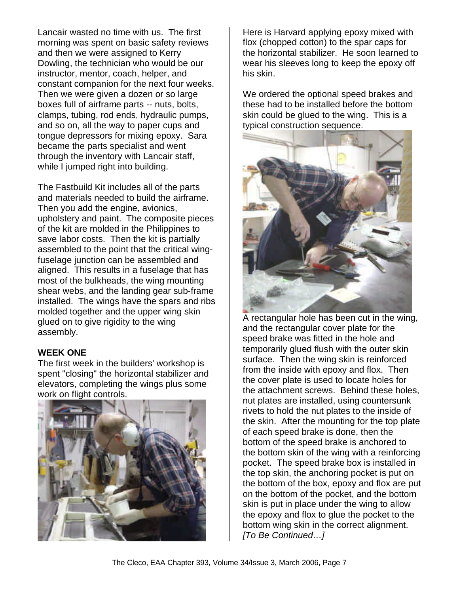Lancair wasted no time with us. The first morning was spent on basic safety reviews and then we were assigned to Kerry Dowling, the technician who would be our instructor, mentor, coach, helper, and constant companion for the next four weeks. Then we were given a dozen or so large boxes full of airframe parts -- nuts, bolts, clamps, tubing, rod ends, hydraulic pumps, and so on, all the way to paper cups and tongue depressors for mixing epoxy. Sara became the parts specialist and went through the inventory with Lancair staff, while I jumped right into building.

The Fastbuild Kit includes all of the parts and materials needed to build the airframe. Then you add the engine, avionics, upholstery and paint. The composite pieces of the kit are molded in the Philippines to save labor costs. Then the kit is partially assembled to the point that the critical wingfuselage junction can be assembled and aligned. This results in a fuselage that has most of the bulkheads, the wing mounting shear webs, and the landing gear sub-frame installed. The wings have the spars and ribs molded together and the upper wing skin glued on to give rigidity to the wing assembly.

### **WEEK ONE**

The first week in the builders' workshop is spent "closing" the horizontal stabilizer and elevators, completing the wings plus some work on flight controls.



Here is Harvard applying epoxy mixed with flox (chopped cotton) to the spar caps for the horizontal stabilizer. He soon learned to wear his sleeves long to keep the epoxy off his skin.

We ordered the optional speed brakes and these had to be installed before the bottom skin could be glued to the wing. This is a typical construction sequence.



A rectangular hole has been cut in the wing, and the rectangular cover plate for the speed brake was fitted in the hole and temporarily glued flush with the outer skin surface. Then the wing skin is reinforced from the inside with epoxy and flox. Then the cover plate is used to locate holes for the attachment screws. Behind these holes, nut plates are installed, using countersunk rivets to hold the nut plates to the inside of the skin. After the mounting for the top plate of each speed brake is done, then the bottom of the speed brake is anchored to the bottom skin of the wing with a reinforcing pocket. The speed brake box is installed in the top skin, the anchoring pocket is put on the bottom of the box, epoxy and flox are put on the bottom of the pocket, and the bottom skin is put in place under the wing to allow the epoxy and flox to glue the pocket to the bottom wing skin in the correct alignment. *[To Be Continued…]*